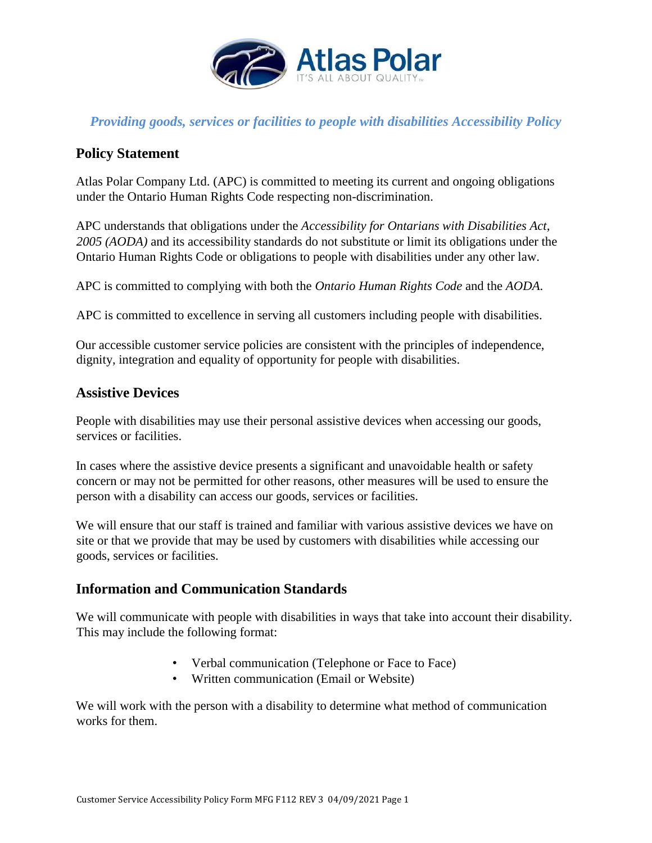

## *Providing goods, services or facilities to people with disabilities Accessibility Policy*

## **Policy Statement**

Atlas Polar Company Ltd. (APC) is committed to meeting its current and ongoing obligations under the Ontario Human Rights Code respecting non-discrimination.

APC understands that obligations under the *Accessibility for Ontarians with Disabilities Act, 2005 (AODA)* and its accessibility standards do not substitute or limit its obligations under the Ontario Human Rights Code or obligations to people with disabilities under any other law.

APC is committed to complying with both the *Ontario Human Rights Code* and the *AODA*.

APC is committed to excellence in serving all customers including people with disabilities.

Our accessible customer service policies are consistent with the principles of independence, dignity, integration and equality of opportunity for people with disabilities.

#### **Assistive Devices**

People with disabilities may use their personal assistive devices when accessing our goods, services or facilities.

In cases where the assistive device presents a significant and unavoidable health or safety concern or may not be permitted for other reasons, other measures will be used to ensure the person with a disability can access our goods, services or facilities.

We will ensure that our staff is trained and familiar with various assistive devices we have on site or that we provide that may be used by customers with disabilities while accessing our goods, services or facilities.

## **Information and Communication Standards**

We will communicate with people with disabilities in ways that take into account their disability. This may include the following format:

- Verbal communication (Telephone or Face to Face)
- Written communication (Email or Website)

We will work with the person with a disability to determine what method of communication works for them.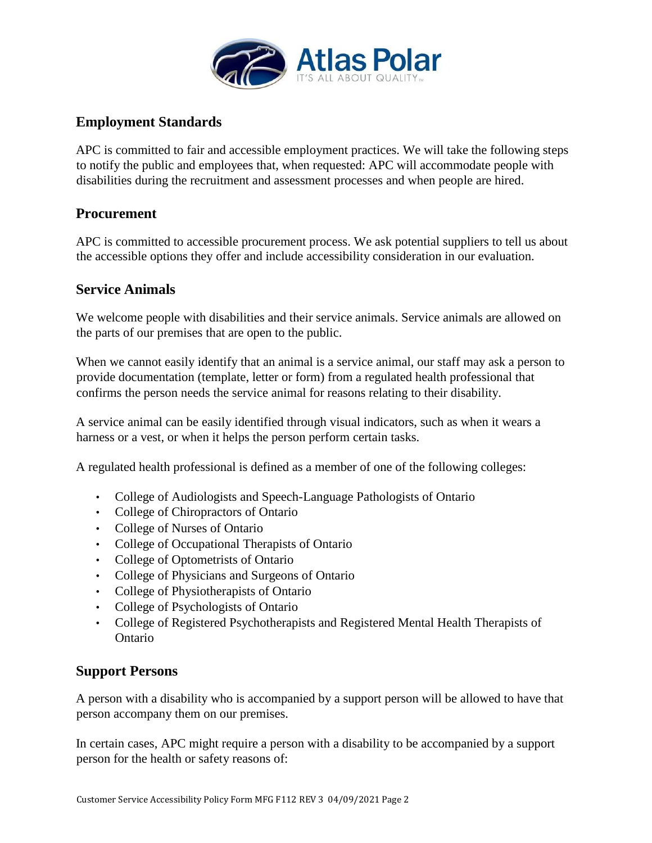

## **Employment Standards**

APC is committed to fair and accessible employment practices. We will take the following steps to notify the public and employees that, when requested: APC will accommodate people with disabilities during the recruitment and assessment processes and when people are hired.

## **Procurement**

APC is committed to accessible procurement process. We ask potential suppliers to tell us about the accessible options they offer and include accessibility consideration in our evaluation.

## **Service Animals**

We welcome people with disabilities and their service animals. Service animals are allowed on the parts of our premises that are open to the public.

When we cannot easily identify that an animal is a service animal, our staff may ask a person to provide documentation (template, letter or form) from a regulated health professional that confirms the person needs the service animal for reasons relating to their disability.

A service animal can be easily identified through visual indicators, such as when it wears a harness or a vest, or when it helps the person perform certain tasks.

A regulated health professional is defined as a member of one of the following colleges:

- College of Audiologists and Speech-Language Pathologists of Ontario
- College of Chiropractors of Ontario
- College of Nurses of Ontario
- College of Occupational Therapists of Ontario
- College of Optometrists of Ontario
- College of Physicians and Surgeons of Ontario
- College of Physiotherapists of Ontario
- College of Psychologists of Ontario
- College of Registered Psychotherapists and Registered Mental Health Therapists of Ontario

#### **Support Persons**

A person with a disability who is accompanied by a support person will be allowed to have that person accompany them on our premises.

In certain cases, APC might require a person with a disability to be accompanied by a support person for the health or safety reasons of: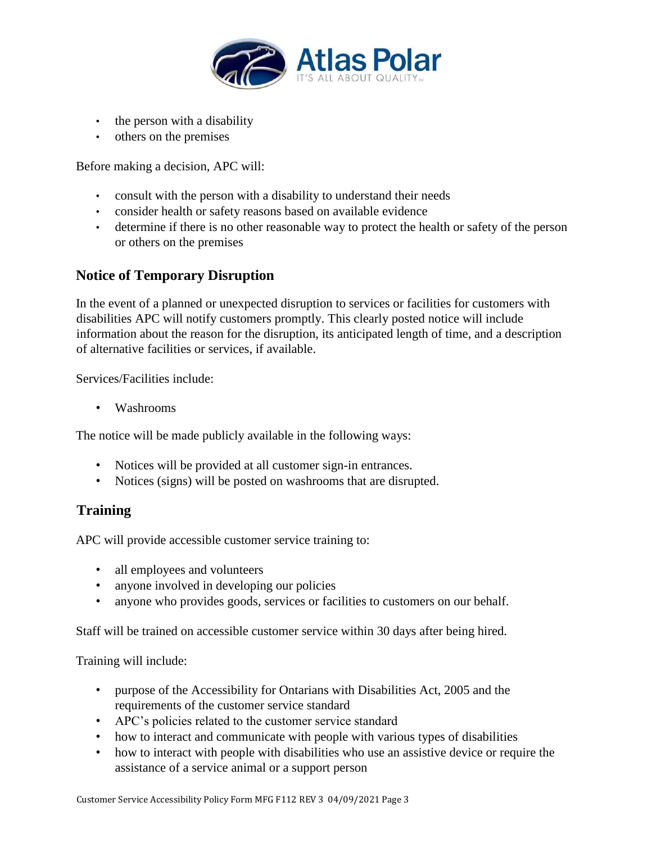

- the person with a disability
- others on the premises

Before making a decision, APC will:

- consult with the person with a disability to understand their needs
- consider health or safety reasons based on available evidence
- determine if there is no other reasonable way to protect the health or safety of the person or others on the premises

## **Notice of Temporary Disruption**

In the event of a planned or unexpected disruption to services or facilities for customers with disabilities APC will notify customers promptly. This clearly posted notice will include information about the reason for the disruption, its anticipated length of time, and a description of alternative facilities or services, if available.

Services/Facilities include:

• Washrooms

The notice will be made publicly available in the following ways:

- Notices will be provided at all customer sign-in entrances.
- Notices (signs) will be posted on washrooms that are disrupted.

## **Training**

APC will provide accessible customer service training to:

- all employees and volunteers
- anyone involved in developing our policies
- anyone who provides goods, services or facilities to customers on our behalf.

Staff will be trained on accessible customer service within 30 days after being hired.

Training will include:

- purpose of the Accessibility for Ontarians with Disabilities Act, 2005 and the requirements of the customer service standard
- APC's policies related to the customer service standard
- how to interact and communicate with people with various types of disabilities
- how to interact with people with disabilities who use an assistive device or require the assistance of a service animal or a support person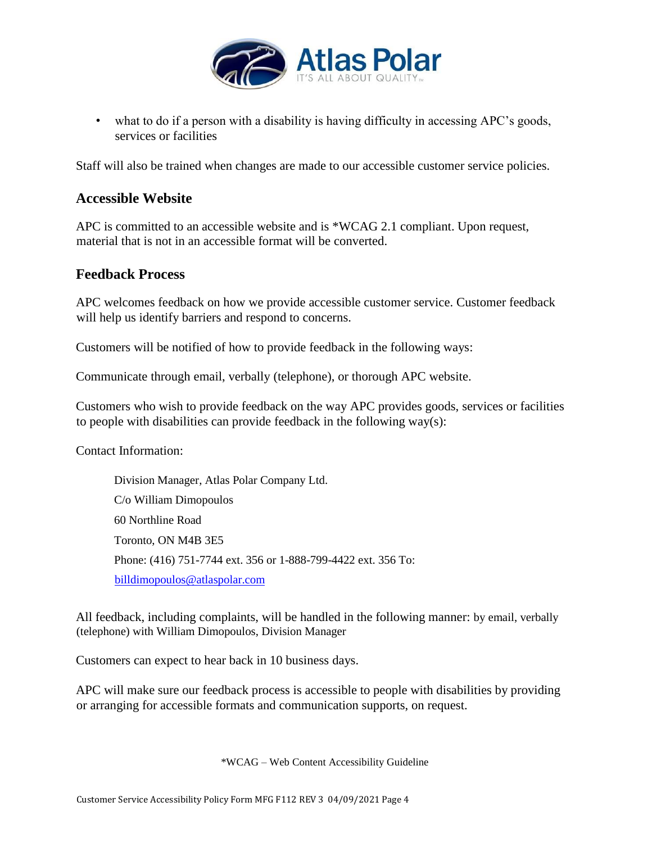

• what to do if a person with a disability is having difficulty in accessing APC's goods, services or facilities

Staff will also be trained when changes are made to our accessible customer service policies.

## **Accessible Website**

APC is committed to an accessible website and is \*WCAG 2.1 compliant. Upon request, material that is not in an accessible format will be converted.

#### **Feedback Process**

APC welcomes feedback on how we provide accessible customer service. Customer feedback will help us identify barriers and respond to concerns.

Customers will be notified of how to provide feedback in the following ways:

Communicate through email, verbally (telephone), or thorough APC website.

Customers who wish to provide feedback on the way APC provides goods, services or facilities to people with disabilities can provide feedback in the following way(s):

Contact Information:

Division Manager, Atlas Polar Company Ltd. C/o William Dimopoulos 60 Northline Road Toronto, ON M4B 3E5 Phone: (416) 751-7744 ext. 356 or 1-888-799-4422 ext. 356 To: billdimopoulos@atlaspolar.com

All feedback, including complaints, will be handled in the following manner: by email, verbally (telephone) with William Dimopoulos, Division Manager

Customers can expect to hear back in 10 business days.

APC will make sure our feedback process is accessible to people with disabilities by providing or arranging for accessible formats and communication supports, on request.

\*WCAG – Web Content Accessibility Guideline